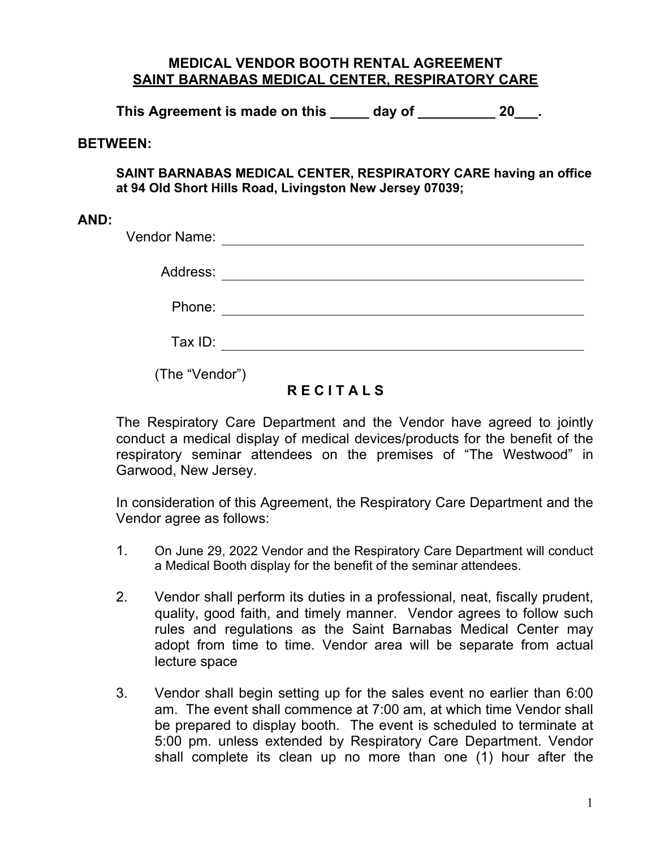## **MEDICAL VENDOR BOOTH RENTAL AGREEMENT SAINT BARNABAS MEDICAL CENTER, RESPIRATORY CARE**

**This Agreement is made on this \_\_\_\_\_ day of \_\_\_\_\_\_\_\_\_\_ 20\_\_\_.**

## **BETWEEN:**

**SAINT BARNABAS MEDICAL CENTER, RESPIRATORY CARE having an office at 94 Old Short Hills Road, Livingston New Jersey 07039;**

## **AND:**

| Vendor Name:   |  |
|----------------|--|
| Address:       |  |
| Phone:         |  |
| Tax ID:        |  |
| (The "Vendor") |  |

## **R E C I T A L S**

The Respiratory Care Department and the Vendor have agreed to jointly conduct a medical display of medical devices/products for the benefit of the respiratory seminar attendees on the premises of "The Westwood" in Garwood, New Jersey.

In consideration of this Agreement, the Respiratory Care Department and the Vendor agree as follows:

- 1. On June 29, 2022 Vendor and the Respiratory Care Department will conduct a Medical Booth display for the benefit of the seminar attendees.
- 2. Vendor shall perform its duties in a professional, neat, fiscally prudent, quality, good faith, and timely manner. Vendor agrees to follow such rules and regulations as the Saint Barnabas Medical Center may adopt from time to time. Vendor area will be separate from actual lecture space
- 3. Vendor shall begin setting up for the sales event no earlier than 6:00 am. The event shall commence at 7:00 am, at which time Vendor shall be prepared to display booth. The event is scheduled to terminate at 5:00 pm. unless extended by Respiratory Care Department. Vendor shall complete its clean up no more than one (1) hour after the